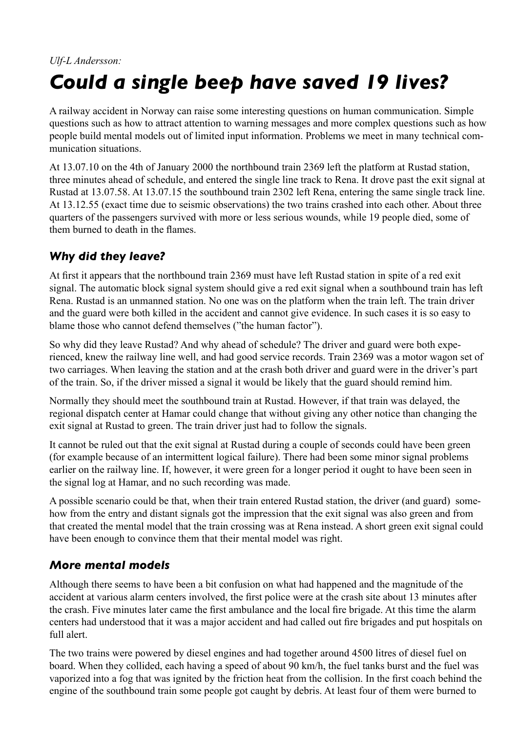#### *Ulf-L Andersson:*

# *Could a single beep have saved 19 lives?*

A railway accident in Norway can raise some interesting questions on human communication. Simple questions such as how to attract attention to warning messages and more complex questions such as how people build mental models out of limited input information. Problems we meet in many technical communication situations.

At 13.07.10 on the 4th of January 2000 the northbound train 2369 left the platform at Rustad station, three minutes ahead of schedule, and entered the single line track to Rena. It drove past the exit signal at Rustad at 13.07.58. At 13.07.15 the southbound train 2302 left Rena, entering the same single track line. At 13.12.55 (exact time due to seismic observations) the two trains crashed into each other. About three quarters of the passengers survived with more or less serious wounds, while 19 people died, some of them burned to death in the flames.

## *Why did they leave?*

At first it appears that the northbound train 2369 must have left Rustad station in spite of a red exit signal. The automatic block signal system should give a red exit signal when a southbound train has left Rena. Rustad is an unmanned station. No one was on the platform when the train left. The train driver and the guard were both killed in the accident and cannot give evidence. In such cases it is so easy to blame those who cannot defend themselves ("the human factor").

So why did they leave Rustad? And why ahead of schedule? The driver and guard were both experienced, knew the railway line well, and had good service records. Train 2369 was a motor wagon set of two carriages. When leaving the station and at the crash both driver and guard were in the driver's part of the train. So, if the driver missed a signal it would be likely that the guard should remind him.

Normally they should meet the southbound train at Rustad. However, if that train was delayed, the regional dispatch center at Hamar could change that without giving any other notice than changing the exit signal at Rustad to green. The train driver just had to follow the signals.

It cannot be ruled out that the exit signal at Rustad during a couple of seconds could have been green (for example because of an intermittent logical failure). There had been some minor signal problems earlier on the railway line. If, however, it were green for a longer period it ought to have been seen in the signal log at Hamar, and no such recording was made.

A possible scenario could be that, when their train entered Rustad station, the driver (and guard) somehow from the entry and distant signals got the impression that the exit signal was also green and from that created the mental model that the train crossing was at Rena instead. A short green exit signal could have been enough to convince them that their mental model was right.

#### *More mental models*

Although there seems to have been a bit confusion on what had happened and the magnitude of the accident at various alarm centers involved, the first police were at the crash site about 13 minutes after the crash. Five minutes later came the first ambulance and the local fire brigade. At this time the alarm centers had understood that it was a major accident and had called out fire brigades and put hospitals on full alert.

The two trains were powered by diesel engines and had together around 4500 litres of diesel fuel on board. When they collided, each having a speed of about 90 km/h, the fuel tanks burst and the fuel was vaporized into a fog that was ignited by the friction heat from the collision. In the first coach behind the engine of the southbound train some people got caught by debris. At least four of them were burned to